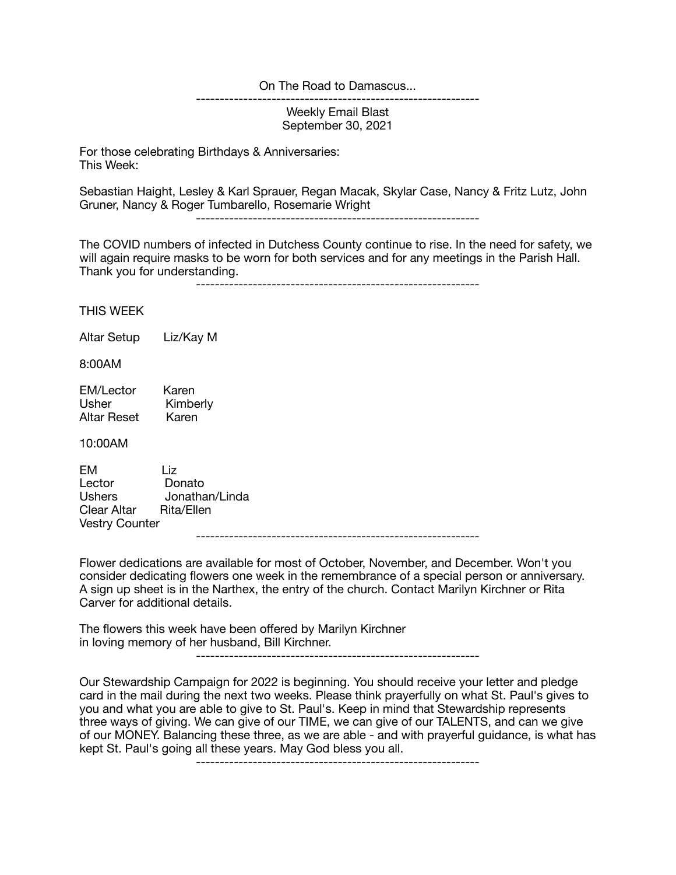## On The Road to Damascus...

Weekly Email Blast September 30, 2021

------------------------------------------------------------

For those celebrating Birthdays & Anniversaries: This Week:

Sebastian Haight, Lesley & Karl Sprauer, Regan Macak, Skylar Case, Nancy & Fritz Lutz, John Gruner, Nancy & Roger Tumbarello, Rosemarie Wright

------------------------------------------------------------

The COVID numbers of infected in Dutchess County continue to rise. In the need for safety, we will again require masks to be worn for both services and for any meetings in the Parish Hall. Thank you for understanding.

------------------------------------------------------------

THIS WEEK

Altar Setup Liz/Kay M

8:00AM

EM/Lector Karen<br>Usher Kimbe Kimberly Altar Reset Karen

10:00AM

EM Liz Lector Donato Ushers Jonathan/Linda Clear Altar Rita/Ellen Vestry Counter ------------------------------------------------------------

Flower dedications are available for most of October, November, and December. Won't you consider dedicating flowers one week in the remembrance of a special person or anniversary. A sign up sheet is in the Narthex, the entry of the church. Contact Marilyn Kirchner or Rita Carver for additional details.

The flowers this week have been offered by Marilyn Kirchner in loving memory of her husband, Bill Kirchner.

------------------------------------------------------------

Our Stewardship Campaign for 2022 is beginning. You should receive your letter and pledge card in the mail during the next two weeks. Please think prayerfully on what St. Paul's gives to you and what you are able to give to St. Paul's. Keep in mind that Stewardship represents three ways of giving. We can give of our TIME, we can give of our TALENTS, and can we give of our MONEY. Balancing these three, as we are able - and with prayerful guidance, is what has kept St. Paul's going all these years. May God bless you all.

------------------------------------------------------------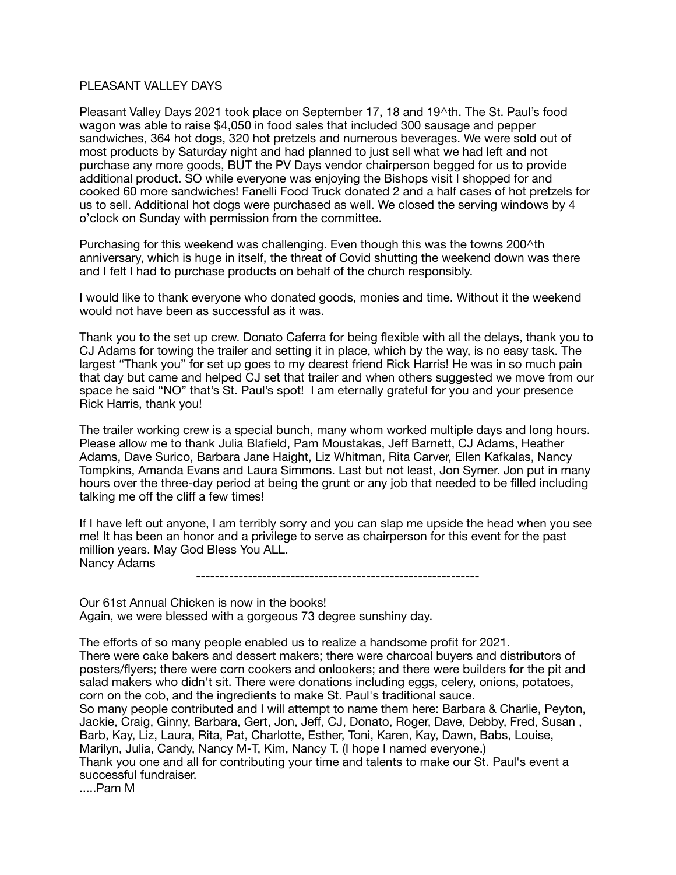## PI FASANT VALLEY DAYS

Pleasant Valley Days 2021 took place on September 17, 18 and 19^th. The St. Paul's food wagon was able to raise \$4,050 in food sales that included 300 sausage and pepper sandwiches, 364 hot dogs, 320 hot pretzels and numerous beverages. We were sold out of most products by Saturday night and had planned to just sell what we had left and not purchase any more goods, BUT the PV Days vendor chairperson begged for us to provide additional product. SO while everyone was enjoying the Bishops visit I shopped for and cooked 60 more sandwiches! Fanelli Food Truck donated 2 and a half cases of hot pretzels for us to sell. Additional hot dogs were purchased as well. We closed the serving windows by 4 o'clock on Sunday with permission from the committee.

Purchasing for this weekend was challenging. Even though this was the towns 200^th anniversary, which is huge in itself, the threat of Covid shutting the weekend down was there and I felt I had to purchase products on behalf of the church responsibly.

I would like to thank everyone who donated goods, monies and time. Without it the weekend would not have been as successful as it was.

Thank you to the set up crew. Donato Caferra for being flexible with all the delays, thank you to CJ Adams for towing the trailer and setting it in place, which by the way, is no easy task. The largest "Thank you" for set up goes to my dearest friend Rick Harris! He was in so much pain that day but came and helped CJ set that trailer and when others suggested we move from our space he said "NO" that's St. Paul's spot! I am eternally grateful for you and your presence Rick Harris, thank you!

The trailer working crew is a special bunch, many whom worked multiple days and long hours. Please allow me to thank Julia Blafield, Pam Moustakas, Jeff Barnett, CJ Adams, Heather Adams, Dave Surico, Barbara Jane Haight, Liz Whitman, Rita Carver, Ellen Kafkalas, Nancy Tompkins, Amanda Evans and Laura Simmons. Last but not least, Jon Symer. Jon put in many hours over the three-day period at being the grunt or any job that needed to be filled including talking me off the cliff a few times!

If I have left out anyone, I am terribly sorry and you can slap me upside the head when you see me! It has been an honor and a privilege to serve as chairperson for this event for the past million years. May God Bless You ALL. Nancy Adams

------------------------------------------------------------

Our 61st Annual Chicken is now in the books! Again, we were blessed with a gorgeous 73 degree sunshiny day.

The efforts of so many people enabled us to realize a handsome profit for 2021. There were cake bakers and dessert makers; there were charcoal buyers and distributors of posters/flyers; there were corn cookers and onlookers; and there were builders for the pit and salad makers who didn't sit. There were donations including eggs, celery, onions, potatoes, corn on the cob, and the ingredients to make St. Paul's traditional sauce. So many people contributed and I will attempt to name them here: Barbara & Charlie, Peyton, Jackie, Craig, Ginny, Barbara, Gert, Jon, Jeff, CJ, Donato, Roger, Dave, Debby, Fred, Susan , Barb, Kay, Liz, Laura, Rita, Pat, Charlotte, Esther, Toni, Karen, Kay, Dawn, Babs, Louise, Marilyn, Julia, Candy, Nancy M-T, Kim, Nancy T. (I hope I named everyone.) Thank you one and all for contributing your time and talents to make our St. Paul's event a successful fundraiser. .....Pam M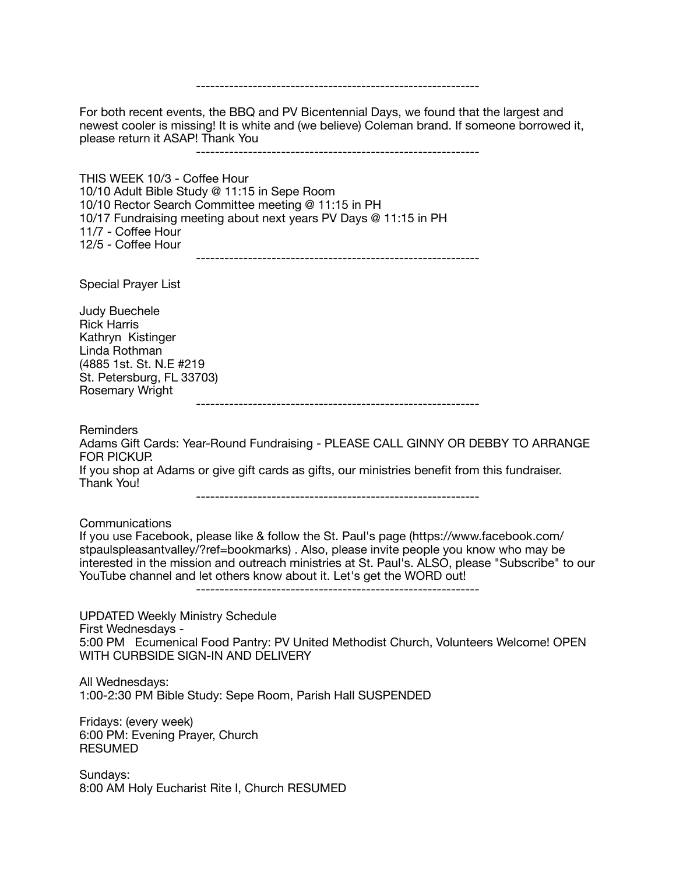------------------------------------------------------------ For both recent events, the BBQ and PV Bicentennial Days, we found that the largest and newest cooler is missing! It is white and (we believe) Coleman brand. If someone borrowed it, please return it ASAP! Thank You ------------------------------------------------------------ THIS WEEK 10/3 - Coffee Hour 10/10 Adult Bible Study @ 11:15 in Sepe Room 10/10 Rector Search Committee meeting @ 11:15 in PH 10/17 Fundraising meeting about next years PV Days @ 11:15 in PH 11/7 - Coffee Hour 12/5 - Coffee Hour ------------------------------------------------------------ Special Prayer List Judy Buechele Rick Harris Kathryn Kistinger Linda Rothman (4885 1st. St. N.E #219 St. Petersburg, FL 33703) Rosemary Wright ------------------------------------------------------------ Reminders Adams Gift Cards: Year-Round Fundraising - PLEASE CALL GINNY OR DEBBY TO ARRANGE FOR PICKUP. If you shop at Adams or give gift cards as gifts, our ministries benefit from this fundraiser. Thank You! ------------------------------------------------------------ Communications If you use Facebook, please like & follow the St. Paul's page (https://www.facebook.com/ stpaulspleasantvalley/?ref=bookmarks) . Also, please invite people you know who may be interested in the mission and outreach ministries at St. Paul's. ALSO, please "Subscribe" to our YouTube channel and let others know about it. Let's get the WORD out! ------------------------------------------------------------ UPDATED Weekly Ministry Schedule First Wednesdays - 5:00 PM Ecumenical Food Pantry: PV United Methodist Church, Volunteers Welcome! OPEN WITH CURBSIDE SIGN-IN AND DELIVERY All Wednesdays: 1:00-2:30 PM Bible Study: Sepe Room, Parish Hall SUSPENDED Fridays: (every week) 6:00 PM: Evening Prayer, Church RESUMED Sundays: 8:00 AM Holy Eucharist Rite I, Church RESUMED